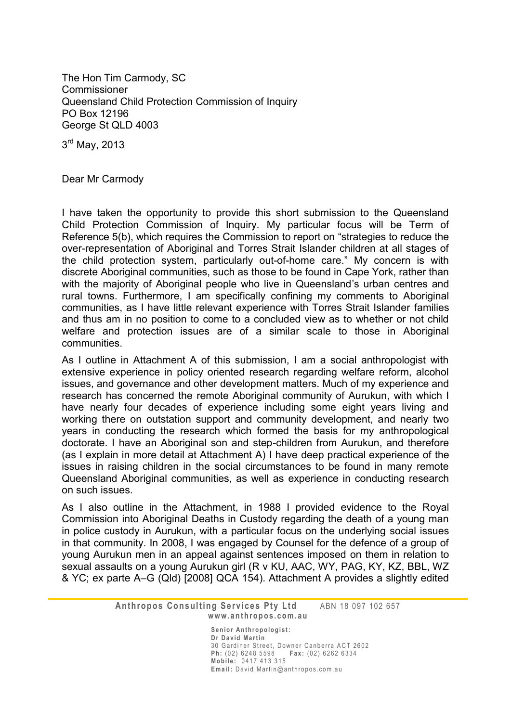The Hon Tim Carmody, SC Commissioner Queensland Child Protection Commission of Inquiry PO Box 12196 George St QLD 4003

3<sup>rd</sup> May, 2013

Dear Mr Carmody

I have taken the opportunity to provide this short submission to the Queensland Child Protection Commission of Inquiry. My particular focus will be Term of Reference 5(b), which requires the Commission to report on "strategies to reduce the over-representation of Aboriginal and Torres Strait Islander children at all stages of the child protection system, particularly out-of-home care." My concern is with discrete Aboriginal communities, such as those to be found in Cape York, rather than with the majority of Aboriginal people who live in Queensland's urban centres and rural towns. Furthermore, I am specifically confining my comments to Aboriginal communities, as I have little relevant experience with Torres Strait Islander families and thus am in no position to come to a concluded view as to whether or not child welfare and protection issues are of a similar scale to those in Aboriginal communities.

As I outline in Attachment A of this submission, I am a social anthropologist with extensive experience in policy oriented research regarding welfare reform, alcohol issues, and governance and other development matters. Much of my experience and research has concerned the remote Aboriginal community of Aurukun, with which I have nearly four decades of experience including some eight years living and working there on outstation support and community development, and nearly two years in conducting the research which formed the basis for my anthropological doctorate. I have an Aboriginal son and step-children from Aurukun, and therefore (as I explain in more detail at Attachment A) I have deep practical experience of the issues in raising children in the social circumstances to be found in many remote Queensland Aboriginal communities, as well as experience in conducting research on such issues.

As I also outline in the Attachment, in 1988 I provided evidence to the Royal Commission into Aboriginal Deaths in Custody regarding the death of a young man in police custody in Aurukun, with a particular focus on the underlying social issues in that community. In 2008, I was engaged by Counsel for the defence of a group of young Aurukun men in an appeal against sentences imposed on them in relation to sexual assaults on a young Aurukun girl (R v KU, AAC, WY, PAG, KY, KZ, BBL, WZ & YC; ex parte A–G (Qld) [2008] QCA 154). Attachment A provides a slightly edited

> **Anthropos Consulting Services Pty Ltd** ABN 18 097 102 657 **w w w . a n t h r o p o s . c o m . a u**

> > |<br>|-

Senior Anthropologist: **Dr David Martin** 30 Gardiner Street, Downer Canberra ACT 2602 **Ph:** (02) 6248 5598 **Fax:** (02) 6262 6334 **M o b i l e :** 0 4 1 7 4 1 3 3 1 5 Email: David.Martin@anthropos.com.au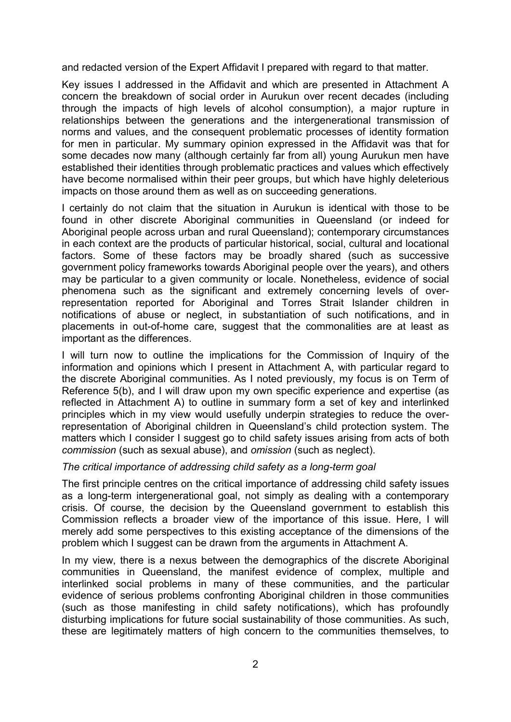and redacted version of the Expert Affidavit I prepared with regard to that matter.

Key issues I addressed in the Affidavit and which are presented in Attachment A concern the breakdown of social order in Aurukun over recent decades (including through the impacts of high levels of alcohol consumption), a major rupture in relationships between the generations and the intergenerational transmission of norms and values, and the consequent problematic processes of identity formation for men in particular. My summary opinion expressed in the Affidavit was that for some decades now many (although certainly far from all) young Aurukun men have established their identities through problematic practices and values which effectively have become normalised within their peer groups, but which have highly deleterious impacts on those around them as well as on succeeding generations.

I certainly do not claim that the situation in Aurukun is identical with those to be found in other discrete Aboriginal communities in Queensland (or indeed for Aboriginal people across urban and rural Queensland); contemporary circumstances in each context are the products of particular historical, social, cultural and locational factors. Some of these factors may be broadly shared (such as successive government policy frameworks towards Aboriginal people over the years), and others may be particular to a given community or locale. Nonetheless, evidence of social phenomena such as the significant and extremely concerning levels of overrepresentation reported for Aboriginal and Torres Strait Islander children in notifications of abuse or neglect, in substantiation of such notifications, and in placements in out-of-home care, suggest that the commonalities are at least as important as the differences.

I will turn now to outline the implications for the Commission of Inquiry of the information and opinions which I present in Attachment A, with particular regard to the discrete Aboriginal communities. As I noted previously, my focus is on Term of Reference 5(b), and I will draw upon my own specific experience and expertise (as reflected in Attachment A) to outline in summary form a set of key and interlinked principles which in my view would usefully underpin strategies to reduce the overrepresentation of Aboriginal children in Queensland's child protection system. The matters which I consider I suggest go to child safety issues arising from acts of both *commission* (such as sexual abuse), and *omission* (such as neglect).

# *The critical importance of addressing child safety as a long-term goal*

The first principle centres on the critical importance of addressing child safety issues as a long-term intergenerational goal, not simply as dealing with a contemporary crisis. Of course, the decision by the Queensland government to establish this Commission reflects a broader view of the importance of this issue. Here, I will merely add some perspectives to this existing acceptance of the dimensions of the problem which I suggest can be drawn from the arguments in Attachment A.

In my view, there is a nexus between the demographics of the discrete Aboriginal communities in Queensland, the manifest evidence of complex, multiple and interlinked social problems in many of these communities, and the particular evidence of serious problems confronting Aboriginal children in those communities (such as those manifesting in child safety notifications), which has profoundly disturbing implications for future social sustainability of those communities. As such, these are legitimately matters of high concern to the communities themselves, to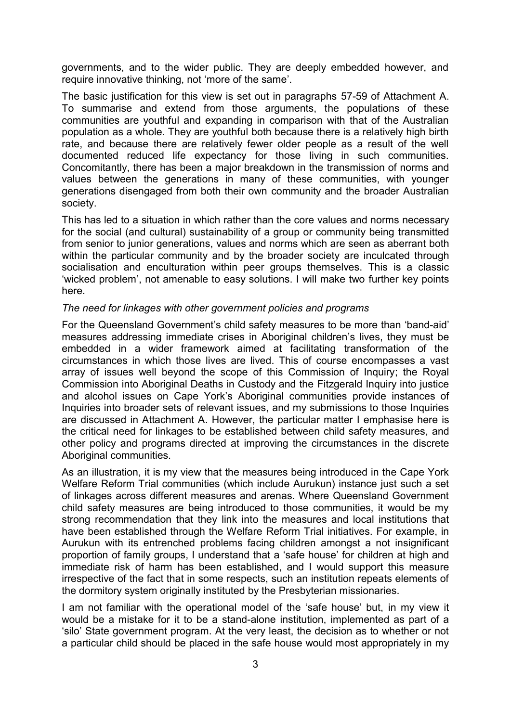governments, and to the wider public. They are deeply embedded however, and require innovative thinking, not 'more of the same'.

The basic justification for this view is set out in paragraphs 57-59 of Attachment A. To summarise and extend from those arguments, the populations of these communities are youthful and expanding in comparison with that of the Australian population as a whole. They are youthful both because there is a relatively high birth rate, and because there are relatively fewer older people as a result of the well documented reduced life expectancy for those living in such communities. Concomitantly, there has been a major breakdown in the transmission of norms and values between the generations in many of these communities, with younger generations disengaged from both their own community and the broader Australian society.

This has led to a situation in which rather than the core values and norms necessary for the social (and cultural) sustainability of a group or community being transmitted from senior to junior generations, values and norms which are seen as aberrant both within the particular community and by the broader society are inculcated through socialisation and enculturation within peer groups themselves. This is a classic 'wicked problem', not amenable to easy solutions. I will make two further key points here.

#### *The need for linkages with other government policies and programs*

For the Queensland Government's child safety measures to be more than 'band-aid' measures addressing immediate crises in Aboriginal children's lives, they must be embedded in a wider framework aimed at facilitating transformation of the circumstances in which those lives are lived. This of course encompasses a vast array of issues well beyond the scope of this Commission of Inquiry; the Royal Commission into Aboriginal Deaths in Custody and the Fitzgerald Inquiry into justice and alcohol issues on Cape York's Aboriginal communities provide instances of Inquiries into broader sets of relevant issues, and my submissions to those Inquiries are discussed in Attachment A. However, the particular matter I emphasise here is the critical need for linkages to be established between child safety measures, and other policy and programs directed at improving the circumstances in the discrete Aboriginal communities.

As an illustration, it is my view that the measures being introduced in the Cape York Welfare Reform Trial communities (which include Aurukun) instance just such a set of linkages across different measures and arenas. Where Queensland Government child safety measures are being introduced to those communities, it would be my strong recommendation that they link into the measures and local institutions that have been established through the Welfare Reform Trial initiatives. For example, in Aurukun with its entrenched problems facing children amongst a not insignificant proportion of family groups, I understand that a 'safe house' for children at high and immediate risk of harm has been established, and I would support this measure irrespective of the fact that in some respects, such an institution repeats elements of the dormitory system originally instituted by the Presbyterian missionaries.

I am not familiar with the operational model of the 'safe house' but, in my view it would be a mistake for it to be a stand-alone institution, implemented as part of a 'silo' State government program. At the very least, the decision as to whether or not a particular child should be placed in the safe house would most appropriately in my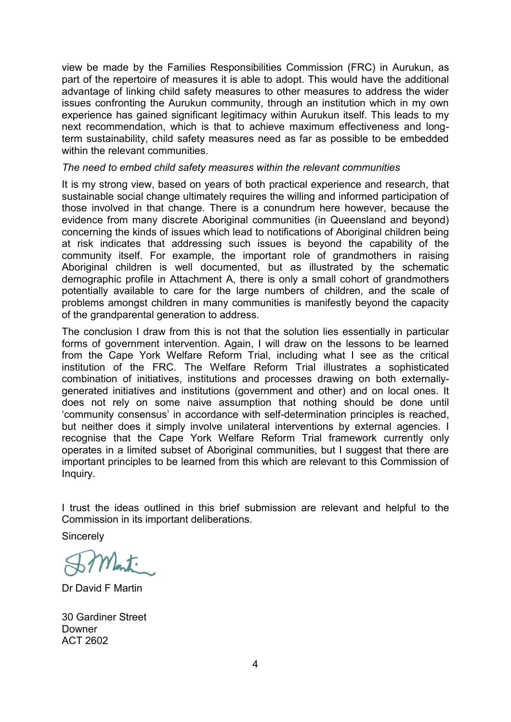view be made by the Families Responsibilities Commission (FRC) in Aurukun, as part of the repertoire of measures it is able to adopt. This would have the additional advantage of linking child safety measures to other measures to address the wider issues confronting the Aurukun community, through an institution which in my own experience has gained significant legitimacy within Aurukun itself. This leads to my next recommendation, which is that to achieve maximum effectiveness and longterm sustainability, child safety measures need as far as possible to be embedded within the relevant communities.

# *The need to embed child safety measures within the relevant communities*

It is my strong view, based on years of both practical experience and research, that sustainable social change ultimately requires the willing and informed participation of those involved in that change. There is a conundrum here however, because the evidence from many discrete Aboriginal communities (in Queensland and beyond) concerning the kinds of issues which lead to notifications of Aboriginal children being at risk indicates that addressing such issues is beyond the capability of the community itself. For example, the important role of grandmothers in raising Aboriginal children is well documented, but as illustrated by the schematic demographic profile in Attachment A, there is only a small cohort of grandmothers potentially available to care for the large numbers of children, and the scale of problems amongst children in many communities is manifestly beyond the capacity of the grandparental generation to address.

The conclusion I draw from this is not that the solution lies essentially in particular forms of government intervention. Again, I will draw on the lessons to be learned from the Cape York Welfare Reform Trial, including what I see as the critical institution of the FRC. The Welfare Reform Trial illustrates a sophisticated combination of initiatives, institutions and processes drawing on both externallygenerated initiatives and institutions (government and other) and on local ones. It does not rely on some naive assumption that nothing should be done until 'community consensus' in accordance with self-determination principles is reached, but neither does it simply involve unilateral interventions by external agencies. I recognise that the Cape York Welfare Reform Trial framework currently only operates in a limited subset of Aboriginal communities, but I suggest that there are important principles to be learned from this which are relevant to this Commission of Inquiry.

I trust the ideas outlined in this brief submission are relevant and helpful to the Commission in its important deliberations.

**Sincerely** 

Dr David F Martin

30 Gardiner Street Downer ACT 2602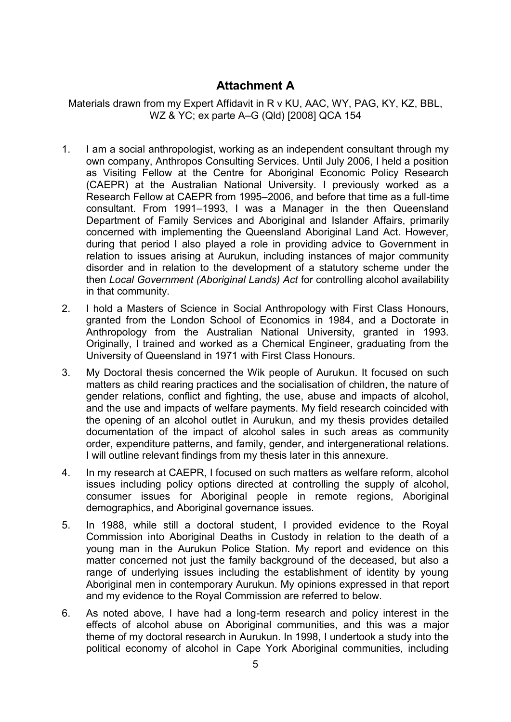# **Attachment A**

Materials drawn from my Expert Affidavit in R v KU, AAC, WY, PAG, KY, KZ, BBL, WZ & YC; ex parte A–G (Qld) [2008] QCA 154

- 1. I am a social anthropologist, working as an independent consultant through my own company, Anthropos Consulting Services. Until July 2006, I held a position as Visiting Fellow at the Centre for Aboriginal Economic Policy Research (CAEPR) at the Australian National University. I previously worked as a Research Fellow at CAEPR from 1995–2006, and before that time as a full-time consultant. From 1991–1993, I was a Manager in the then Queensland Department of Family Services and Aboriginal and Islander Affairs, primarily concerned with implementing the Queensland Aboriginal Land Act. However, during that period I also played a role in providing advice to Government in relation to issues arising at Aurukun, including instances of major community disorder and in relation to the development of a statutory scheme under the then *Local Government (Aboriginal Lands) Act* for controlling alcohol availability in that community.
- 2. I hold a Masters of Science in Social Anthropology with First Class Honours, granted from the London School of Economics in 1984, and a Doctorate in Anthropology from the Australian National University, granted in 1993. Originally, I trained and worked as a Chemical Engineer, graduating from the University of Queensland in 1971 with First Class Honours.
- 3. My Doctoral thesis concerned the Wik people of Aurukun. It focused on such matters as child rearing practices and the socialisation of children, the nature of gender relations, conflict and fighting, the use, abuse and impacts of alcohol, and the use and impacts of welfare payments. My field research coincided with the opening of an alcohol outlet in Aurukun, and my thesis provides detailed documentation of the impact of alcohol sales in such areas as community order, expenditure patterns, and family, gender, and intergenerational relations. I will outline relevant findings from my thesis later in this annexure.
- 4. In my research at CAEPR, I focused on such matters as welfare reform, alcohol issues including policy options directed at controlling the supply of alcohol, consumer issues for Aboriginal people in remote regions, Aboriginal demographics, and Aboriginal governance issues.
- 5. In 1988, while still a doctoral student, I provided evidence to the Royal Commission into Aboriginal Deaths in Custody in relation to the death of a young man in the Aurukun Police Station. My report and evidence on this matter concerned not just the family background of the deceased, but also a range of underlying issues including the establishment of identity by young Aboriginal men in contemporary Aurukun. My opinions expressed in that report and my evidence to the Royal Commission are referred to below.
- 6. As noted above, I have had a long-term research and policy interest in the effects of alcohol abuse on Aboriginal communities, and this was a major theme of my doctoral research in Aurukun. In 1998, I undertook a study into the political economy of alcohol in Cape York Aboriginal communities, including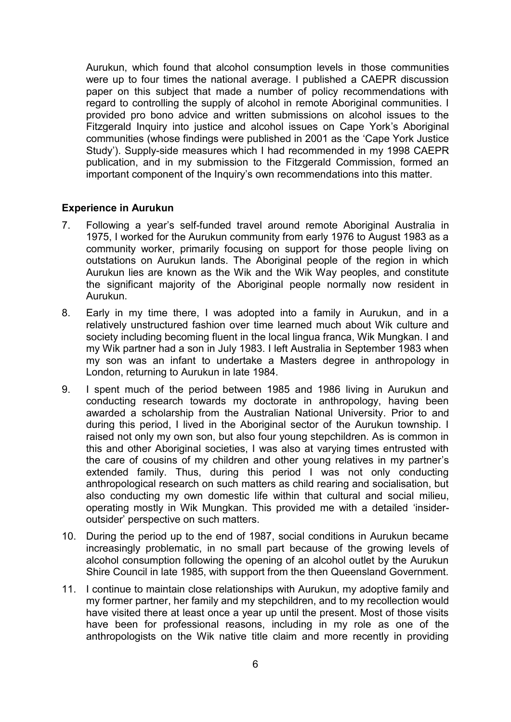Aurukun, which found that alcohol consumption levels in those communities were up to four times the national average. I published a CAEPR discussion paper on this subject that made a number of policy recommendations with regard to controlling the supply of alcohol in remote Aboriginal communities. I provided pro bono advice and written submissions on alcohol issues to the Fitzgerald Inquiry into justice and alcohol issues on Cape York's Aboriginal communities (whose findings were published in 2001 as the 'Cape York Justice Study'). Supply-side measures which I had recommended in my 1998 CAEPR publication, and in my submission to the Fitzgerald Commission, formed an important component of the Inquiry's own recommendations into this matter.

# **Experience in Aurukun**

- 7. Following a year's self-funded travel around remote Aboriginal Australia in 1975, I worked for the Aurukun community from early 1976 to August 1983 as a community worker, primarily focusing on support for those people living on outstations on Aurukun lands. The Aboriginal people of the region in which Aurukun lies are known as the Wik and the Wik Way peoples, and constitute the significant majority of the Aboriginal people normally now resident in Aurukun.
- 8. Early in my time there, I was adopted into a family in Aurukun, and in a relatively unstructured fashion over time learned much about Wik culture and society including becoming fluent in the local lingua franca, Wik Mungkan. I and my Wik partner had a son in July 1983. I left Australia in September 1983 when my son was an infant to undertake a Masters degree in anthropology in London, returning to Aurukun in late 1984.
- 9. I spent much of the period between 1985 and 1986 living in Aurukun and conducting research towards my doctorate in anthropology, having been awarded a scholarship from the Australian National University. Prior to and during this period, I lived in the Aboriginal sector of the Aurukun township. I raised not only my own son, but also four young stepchildren. As is common in this and other Aboriginal societies, I was also at varying times entrusted with the care of cousins of my children and other young relatives in my partner's extended family. Thus, during this period I was not only conducting anthropological research on such matters as child rearing and socialisation, but also conducting my own domestic life within that cultural and social milieu, operating mostly in Wik Mungkan. This provided me with a detailed 'insideroutsider' perspective on such matters.
- 10. During the period up to the end of 1987, social conditions in Aurukun became increasingly problematic, in no small part because of the growing levels of alcohol consumption following the opening of an alcohol outlet by the Aurukun Shire Council in late 1985, with support from the then Queensland Government.
- 11. I continue to maintain close relationships with Aurukun, my adoptive family and my former partner, her family and my stepchildren, and to my recollection would have visited there at least once a year up until the present. Most of those visits have been for professional reasons, including in my role as one of the anthropologists on the Wik native title claim and more recently in providing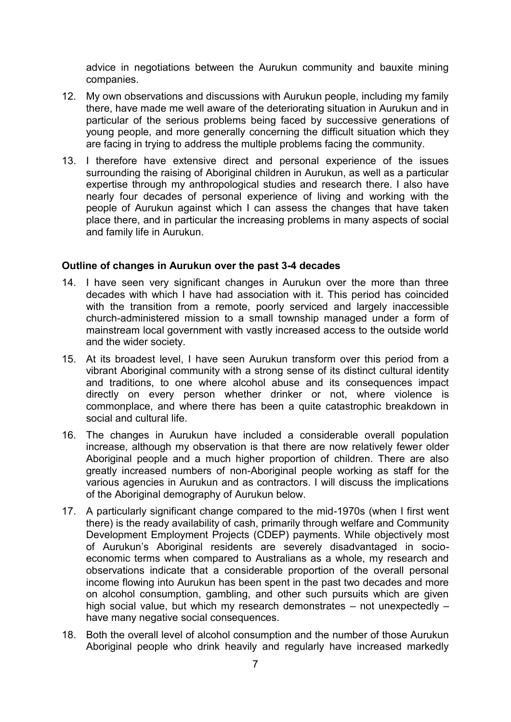advice in negotiations between the Aurukun community and bauxite mining companies.

- 12. My own observations and discussions with Aurukun people, including my family there, have made me well aware of the deteriorating situation in Aurukun and in particular of the serious problems being faced by successive generations of young people, and more generally concerning the difficult situation which they are facing in trying to address the multiple problems facing the community.
- 13. I therefore have extensive direct and personal experience of the issues surrounding the raising of Aboriginal children in Aurukun, as well as a particular expertise through my anthropological studies and research there. I also have nearly four decades of personal experience of living and working with the people of Aurukun against which I can assess the changes that have taken place there, and in particular the increasing problems in many aspects of social and family life in Aurukun.

# **Outline of changes in Aurukun over the past 3-4 decades**

- 14. I have seen very significant changes in Aurukun over the more than three decades with which I have had association with it. This period has coincided with the transition from a remote, poorly serviced and largely inaccessible church-administered mission to a small township managed under a form of mainstream local government with vastly increased access to the outside world and the wider society.
- 15. At its broadest level, I have seen Aurukun transform over this period from a vibrant Aboriginal community with a strong sense of its distinct cultural identity and traditions, to one where alcohol abuse and its consequences impact directly on every person whether drinker or not, where violence is commonplace, and where there has been a quite catastrophic breakdown in social and cultural life.
- 16. The changes in Aurukun have included a considerable overall population increase, although my observation is that there are now relatively fewer older Aboriginal people and a much higher proportion of children. There are also greatly increased numbers of non-Aboriginal people working as staff for the various agencies in Aurukun and as contractors. I will discuss the implications of the Aboriginal demography of Aurukun below.
- 17. A particularly significant change compared to the mid-1970s (when I first went there) is the ready availability of cash, primarily through welfare and Community Development Employment Projects (CDEP) payments. While objectively most of Aurukun's Aboriginal residents are severely disadvantaged in socioeconomic terms when compared to Australians as a whole, my research and observations indicate that a considerable proportion of the overall personal income flowing into Aurukun has been spent in the past two decades and more on alcohol consumption, gambling, and other such pursuits which are given high social value, but which my research demonstrates – not unexpectedly – have many negative social consequences.
- 18. Both the overall level of alcohol consumption and the number of those Aurukun Aboriginal people who drink heavily and regularly have increased markedly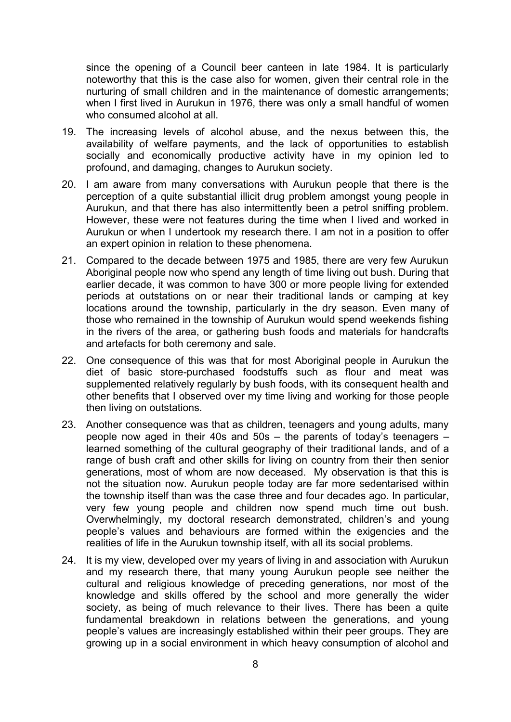since the opening of a Council beer canteen in late 1984. It is particularly noteworthy that this is the case also for women, given their central role in the nurturing of small children and in the maintenance of domestic arrangements; when I first lived in Aurukun in 1976, there was only a small handful of women who consumed alcohol at all.

- 19. The increasing levels of alcohol abuse, and the nexus between this, the availability of welfare payments, and the lack of opportunities to establish socially and economically productive activity have in my opinion led to profound, and damaging, changes to Aurukun society.
- 20. I am aware from many conversations with Aurukun people that there is the perception of a quite substantial illicit drug problem amongst young people in Aurukun, and that there has also intermittently been a petrol sniffing problem. However, these were not features during the time when I lived and worked in Aurukun or when I undertook my research there. I am not in a position to offer an expert opinion in relation to these phenomena.
- 21. Compared to the decade between 1975 and 1985, there are very few Aurukun Aboriginal people now who spend any length of time living out bush. During that earlier decade, it was common to have 300 or more people living for extended periods at outstations on or near their traditional lands or camping at key locations around the township, particularly in the dry season. Even many of those who remained in the township of Aurukun would spend weekends fishing in the rivers of the area, or gathering bush foods and materials for handcrafts and artefacts for both ceremony and sale.
- 22. One consequence of this was that for most Aboriginal people in Aurukun the diet of basic store-purchased foodstuffs such as flour and meat was supplemented relatively regularly by bush foods, with its consequent health and other benefits that I observed over my time living and working for those people then living on outstations.
- 23. Another consequence was that as children, teenagers and young adults, many people now aged in their 40s and 50s – the parents of today's teenagers – learned something of the cultural geography of their traditional lands, and of a range of bush craft and other skills for living on country from their then senior generations, most of whom are now deceased. My observation is that this is not the situation now. Aurukun people today are far more sedentarised within the township itself than was the case three and four decades ago. In particular, very few young people and children now spend much time out bush. Overwhelmingly, my doctoral research demonstrated, children's and young people's values and behaviours are formed within the exigencies and the realities of life in the Aurukun township itself, with all its social problems.
- 24. It is my view, developed over my years of living in and association with Aurukun and my research there, that many young Aurukun people see neither the cultural and religious knowledge of preceding generations, nor most of the knowledge and skills offered by the school and more generally the wider society, as being of much relevance to their lives. There has been a quite fundamental breakdown in relations between the generations, and young people's values are increasingly established within their peer groups. They are growing up in a social environment in which heavy consumption of alcohol and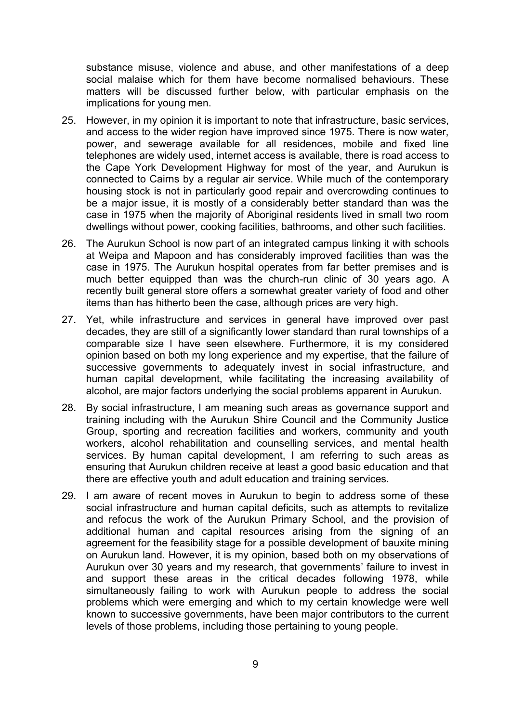substance misuse, violence and abuse, and other manifestations of a deep social malaise which for them have become normalised behaviours. These matters will be discussed further below, with particular emphasis on the implications for young men.

- 25. However, in my opinion it is important to note that infrastructure, basic services, and access to the wider region have improved since 1975. There is now water, power, and sewerage available for all residences, mobile and fixed line telephones are widely used, internet access is available, there is road access to the Cape York Development Highway for most of the year, and Aurukun is connected to Cairns by a regular air service. While much of the contemporary housing stock is not in particularly good repair and overcrowding continues to be a major issue, it is mostly of a considerably better standard than was the case in 1975 when the majority of Aboriginal residents lived in small two room dwellings without power, cooking facilities, bathrooms, and other such facilities.
- 26. The Aurukun School is now part of an integrated campus linking it with schools at Weipa and Mapoon and has considerably improved facilities than was the case in 1975. The Aurukun hospital operates from far better premises and is much better equipped than was the church-run clinic of 30 years ago. A recently built general store offers a somewhat greater variety of food and other items than has hitherto been the case, although prices are very high.
- 27. Yet, while infrastructure and services in general have improved over past decades, they are still of a significantly lower standard than rural townships of a comparable size I have seen elsewhere. Furthermore, it is my considered opinion based on both my long experience and my expertise, that the failure of successive governments to adequately invest in social infrastructure, and human capital development, while facilitating the increasing availability of alcohol, are major factors underlying the social problems apparent in Aurukun.
- 28. By social infrastructure, I am meaning such areas as governance support and training including with the Aurukun Shire Council and the Community Justice Group, sporting and recreation facilities and workers, community and youth workers, alcohol rehabilitation and counselling services, and mental health services. By human capital development, I am referring to such areas as ensuring that Aurukun children receive at least a good basic education and that there are effective youth and adult education and training services.
- 29. I am aware of recent moves in Aurukun to begin to address some of these social infrastructure and human capital deficits, such as attempts to revitalize and refocus the work of the Aurukun Primary School, and the provision of additional human and capital resources arising from the signing of an agreement for the feasibility stage for a possible development of bauxite mining on Aurukun land. However, it is my opinion, based both on my observations of Aurukun over 30 years and my research, that governments' failure to invest in and support these areas in the critical decades following 1978, while simultaneously failing to work with Aurukun people to address the social problems which were emerging and which to my certain knowledge were well known to successive governments, have been major contributors to the current levels of those problems, including those pertaining to young people.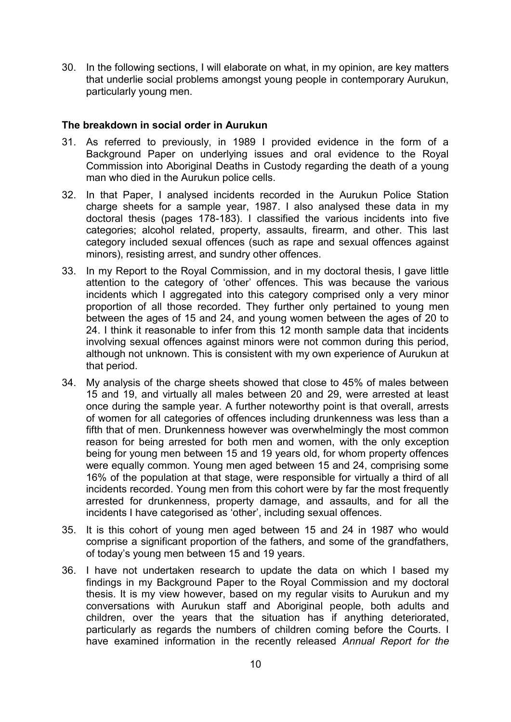30. In the following sections, I will elaborate on what, in my opinion, are key matters that underlie social problems amongst young people in contemporary Aurukun, particularly young men.

# **The breakdown in social order in Aurukun**

- 31. As referred to previously, in 1989 I provided evidence in the form of a Background Paper on underlying issues and oral evidence to the Royal Commission into Aboriginal Deaths in Custody regarding the death of a young man who died in the Aurukun police cells.
- 32. In that Paper, I analysed incidents recorded in the Aurukun Police Station charge sheets for a sample year, 1987. I also analysed these data in my doctoral thesis (pages 178-183). I classified the various incidents into five categories; alcohol related, property, assaults, firearm, and other. This last category included sexual offences (such as rape and sexual offences against minors), resisting arrest, and sundry other offences.
- 33. In my Report to the Royal Commission, and in my doctoral thesis, I gave little attention to the category of 'other' offences. This was because the various incidents which I aggregated into this category comprised only a very minor proportion of all those recorded. They further only pertained to young men between the ages of 15 and 24, and young women between the ages of 20 to 24. I think it reasonable to infer from this 12 month sample data that incidents involving sexual offences against minors were not common during this period, although not unknown. This is consistent with my own experience of Aurukun at that period.
- 34. My analysis of the charge sheets showed that close to 45% of males between 15 and 19, and virtually all males between 20 and 29, were arrested at least once during the sample year. A further noteworthy point is that overall, arrests of women for all categories of offences including drunkenness was less than a fifth that of men. Drunkenness however was overwhelmingly the most common reason for being arrested for both men and women, with the only exception being for young men between 15 and 19 years old, for whom property offences were equally common. Young men aged between 15 and 24, comprising some 16% of the population at that stage, were responsible for virtually a third of all incidents recorded. Young men from this cohort were by far the most frequently arrested for drunkenness, property damage, and assaults, and for all the incidents I have categorised as 'other', including sexual offences.
- 35. It is this cohort of young men aged between 15 and 24 in 1987 who would comprise a significant proportion of the fathers, and some of the grandfathers, of today's young men between 15 and 19 years.
- 36. I have not undertaken research to update the data on which I based my findings in my Background Paper to the Royal Commission and my doctoral thesis. It is my view however, based on my regular visits to Aurukun and my conversations with Aurukun staff and Aboriginal people, both adults and children, over the years that the situation has if anything deteriorated, particularly as regards the numbers of children coming before the Courts. I have examined information in the recently released *Annual Report for the*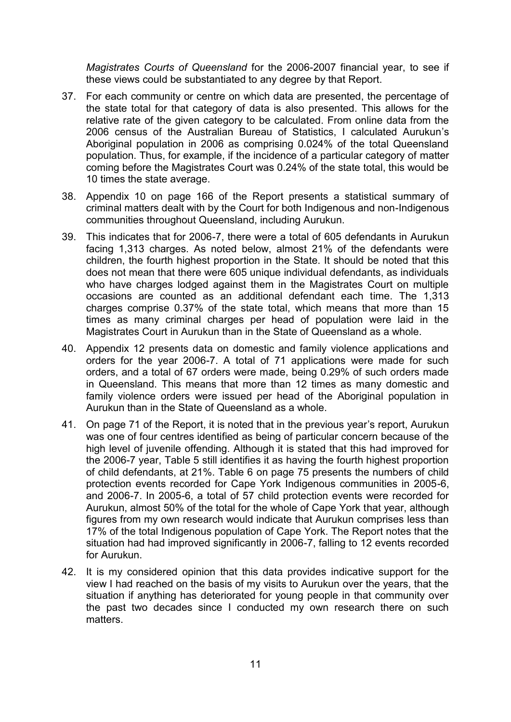*Magistrates Courts of Queensland* for the 2006-2007 financial year, to see if these views could be substantiated to any degree by that Report.

- 37. For each community or centre on which data are presented, the percentage of the state total for that category of data is also presented. This allows for the relative rate of the given category to be calculated. From online data from the 2006 census of the Australian Bureau of Statistics, I calculated Aurukun's Aboriginal population in 2006 as comprising 0.024% of the total Queensland population. Thus, for example, if the incidence of a particular category of matter coming before the Magistrates Court was 0.24% of the state total, this would be 10 times the state average.
- 38. Appendix 10 on page 166 of the Report presents a statistical summary of criminal matters dealt with by the Court for both Indigenous and non-Indigenous communities throughout Queensland, including Aurukun.
- 39. This indicates that for 2006-7, there were a total of 605 defendants in Aurukun facing 1,313 charges. As noted below, almost 21% of the defendants were children, the fourth highest proportion in the State. It should be noted that this does not mean that there were 605 unique individual defendants, as individuals who have charges lodged against them in the Magistrates Court on multiple occasions are counted as an additional defendant each time. The 1,313 charges comprise 0.37% of the state total, which means that more than 15 times as many criminal charges per head of population were laid in the Magistrates Court in Aurukun than in the State of Queensland as a whole.
- 40. Appendix 12 presents data on domestic and family violence applications and orders for the year 2006-7. A total of 71 applications were made for such orders, and a total of 67 orders were made, being 0.29% of such orders made in Queensland. This means that more than 12 times as many domestic and family violence orders were issued per head of the Aboriginal population in Aurukun than in the State of Queensland as a whole.
- 41. On page 71 of the Report, it is noted that in the previous year's report, Aurukun was one of four centres identified as being of particular concern because of the high level of juvenile offending. Although it is stated that this had improved for the 2006-7 year, Table 5 still identifies it as having the fourth highest proportion of child defendants, at 21%. Table 6 on page 75 presents the numbers of child protection events recorded for Cape York Indigenous communities in 2005-6, and 2006-7. In 2005-6, a total of 57 child protection events were recorded for Aurukun, almost 50% of the total for the whole of Cape York that year, although figures from my own research would indicate that Aurukun comprises less than 17% of the total Indigenous population of Cape York. The Report notes that the situation had had improved significantly in 2006-7, falling to 12 events recorded for Aurukun.
- 42. It is my considered opinion that this data provides indicative support for the view I had reached on the basis of my visits to Aurukun over the years, that the situation if anything has deteriorated for young people in that community over the past two decades since I conducted my own research there on such matters.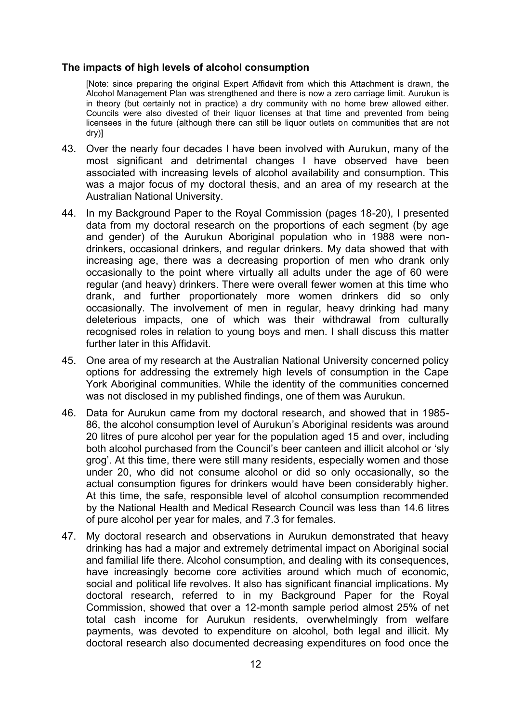#### **The impacts of high levels of alcohol consumption**

[Note: since preparing the original Expert Affidavit from which this Attachment is drawn, the Alcohol Management Plan was strengthened and there is now a zero carriage limit. Aurukun is in theory (but certainly not in practice) a dry community with no home brew allowed either. Councils were also divested of their liquor licenses at that time and prevented from being licensees in the future (although there can still be liquor outlets on communities that are not dry)]

- 43. Over the nearly four decades I have been involved with Aurukun, many of the most significant and detrimental changes I have observed have been associated with increasing levels of alcohol availability and consumption. This was a major focus of my doctoral thesis, and an area of my research at the Australian National University.
- 44. In my Background Paper to the Royal Commission (pages 18-20), I presented data from my doctoral research on the proportions of each segment (by age and gender) of the Aurukun Aboriginal population who in 1988 were nondrinkers, occasional drinkers, and regular drinkers. My data showed that with increasing age, there was a decreasing proportion of men who drank only occasionally to the point where virtually all adults under the age of 60 were regular (and heavy) drinkers. There were overall fewer women at this time who drank, and further proportionately more women drinkers did so only occasionally. The involvement of men in regular, heavy drinking had many deleterious impacts, one of which was their withdrawal from culturally recognised roles in relation to young boys and men. I shall discuss this matter further later in this Affidavit.
- 45. One area of my research at the Australian National University concerned policy options for addressing the extremely high levels of consumption in the Cape York Aboriginal communities. While the identity of the communities concerned was not disclosed in my published findings, one of them was Aurukun.
- 46. Data for Aurukun came from my doctoral research, and showed that in 1985- 86, the alcohol consumption level of Aurukun's Aboriginal residents was around 20 litres of pure alcohol per year for the population aged 15 and over, including both alcohol purchased from the Council's beer canteen and illicit alcohol or 'sly grog'. At this time, there were still many residents, especially women and those under 20, who did not consume alcohol or did so only occasionally, so the actual consumption figures for drinkers would have been considerably higher. At this time, the safe, responsible level of alcohol consumption recommended by the National Health and Medical Research Council was less than 14.6 litres of pure alcohol per year for males, and 7.3 for females.
- 47. My doctoral research and observations in Aurukun demonstrated that heavy drinking has had a major and extremely detrimental impact on Aboriginal social and familial life there. Alcohol consumption, and dealing with its consequences, have increasingly become core activities around which much of economic, social and political life revolves. It also has significant financial implications. My doctoral research, referred to in my Background Paper for the Royal Commission, showed that over a 12-month sample period almost 25% of net total cash income for Aurukun residents, overwhelmingly from welfare payments, was devoted to expenditure on alcohol, both legal and illicit. My doctoral research also documented decreasing expenditures on food once the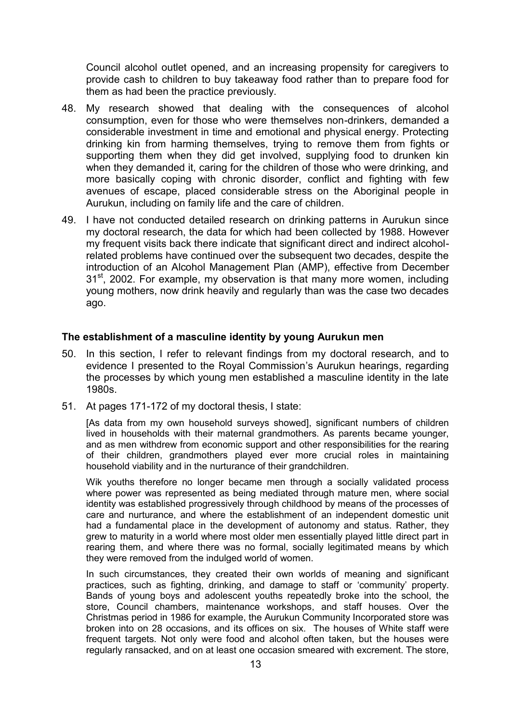Council alcohol outlet opened, and an increasing propensity for caregivers to provide cash to children to buy takeaway food rather than to prepare food for them as had been the practice previously.

- 48. My research showed that dealing with the consequences of alcohol consumption, even for those who were themselves non-drinkers, demanded a considerable investment in time and emotional and physical energy. Protecting drinking kin from harming themselves, trying to remove them from fights or supporting them when they did get involved, supplying food to drunken kin when they demanded it, caring for the children of those who were drinking, and more basically coping with chronic disorder, conflict and fighting with few avenues of escape, placed considerable stress on the Aboriginal people in Aurukun, including on family life and the care of children.
- 49. I have not conducted detailed research on drinking patterns in Aurukun since my doctoral research, the data for which had been collected by 1988. However my frequent visits back there indicate that significant direct and indirect alcoholrelated problems have continued over the subsequent two decades, despite the introduction of an Alcohol Management Plan (AMP), effective from December 31<sup>st</sup>, 2002. For example, my observation is that many more women, including young mothers, now drink heavily and regularly than was the case two decades ago.

#### **The establishment of a masculine identity by young Aurukun men**

- 50. In this section, I refer to relevant findings from my doctoral research, and to evidence I presented to the Royal Commission's Aurukun hearings, regarding the processes by which young men established a masculine identity in the late 1980s.
- 51. At pages 171-172 of my doctoral thesis, I state:

[As data from my own household surveys showed], significant numbers of children lived in households with their maternal grandmothers. As parents became younger, and as men withdrew from economic support and other responsibilities for the rearing of their children, grandmothers played ever more crucial roles in maintaining household viability and in the nurturance of their grandchildren.

Wik youths therefore no longer became men through a socially validated process where power was represented as being mediated through mature men, where social identity was established progressively through childhood by means of the processes of care and nurturance, and where the establishment of an independent domestic unit had a fundamental place in the development of autonomy and status. Rather, they grew to maturity in a world where most older men essentially played little direct part in rearing them, and where there was no formal, socially legitimated means by which they were removed from the indulged world of women.

In such circumstances, they created their own worlds of meaning and significant practices, such as fighting, drinking, and damage to staff or 'community' property. Bands of young boys and adolescent youths repeatedly broke into the school, the store, Council chambers, maintenance workshops, and staff houses. Over the Christmas period in 1986 for example, the Aurukun Community Incorporated store was broken into on 28 occasions, and its offices on six. The houses of White staff were frequent targets. Not only were food and alcohol often taken, but the houses were regularly ransacked, and on at least one occasion smeared with excrement. The store,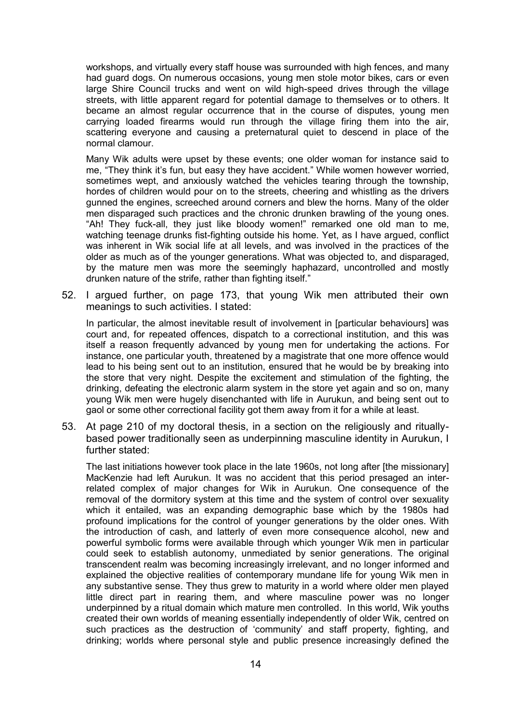workshops, and virtually every staff house was surrounded with high fences, and many had guard dogs. On numerous occasions, young men stole motor bikes, cars or even large Shire Council trucks and went on wild high-speed drives through the village streets, with little apparent regard for potential damage to themselves or to others. It became an almost regular occurrence that in the course of disputes, young men carrying loaded firearms would run through the village firing them into the air, scattering everyone and causing a preternatural quiet to descend in place of the normal clamour.

Many Wik adults were upset by these events; one older woman for instance said to me, "They think it's fun, but easy they have accident." While women however worried, sometimes wept, and anxiously watched the vehicles tearing through the township, hordes of children would pour on to the streets, cheering and whistling as the drivers gunned the engines, screeched around corners and blew the horns. Many of the older men disparaged such practices and the chronic drunken brawling of the young ones. "Ah! They fuck-all, they just like bloody women!" remarked one old man to me, watching teenage drunks fist-fighting outside his home. Yet, as I have argued, conflict was inherent in Wik social life at all levels, and was involved in the practices of the older as much as of the younger generations. What was objected to, and disparaged, by the mature men was more the seemingly haphazard, uncontrolled and mostly drunken nature of the strife, rather than fighting itself."

52. I argued further, on page 173, that young Wik men attributed their own meanings to such activities. I stated:

In particular, the almost inevitable result of involvement in [particular behaviours] was court and, for repeated offences, dispatch to a correctional institution, and this was itself a reason frequently advanced by young men for undertaking the actions. For instance, one particular youth, threatened by a magistrate that one more offence would lead to his being sent out to an institution, ensured that he would be by breaking into the store that very night. Despite the excitement and stimulation of the fighting, the drinking, defeating the electronic alarm system in the store yet again and so on, many young Wik men were hugely disenchanted with life in Aurukun, and being sent out to gaol or some other correctional facility got them away from it for a while at least.

53. At page 210 of my doctoral thesis, in a section on the religiously and rituallybased power traditionally seen as underpinning masculine identity in Aurukun, I further stated:

The last initiations however took place in the late 1960s, not long after [the missionary] MacKenzie had left Aurukun. It was no accident that this period presaged an interrelated complex of major changes for Wik in Aurukun. One consequence of the removal of the dormitory system at this time and the system of control over sexuality which it entailed, was an expanding demographic base which by the 1980s had profound implications for the control of younger generations by the older ones. With the introduction of cash, and latterly of even more consequence alcohol, new and powerful symbolic forms were available through which younger Wik men in particular could seek to establish autonomy, unmediated by senior generations. The original transcendent realm was becoming increasingly irrelevant, and no longer informed and explained the objective realities of contemporary mundane life for young Wik men in any substantive sense. They thus grew to maturity in a world where older men played little direct part in rearing them, and where masculine power was no longer underpinned by a ritual domain which mature men controlled. In this world, Wik youths created their own worlds of meaning essentially independently of older Wik, centred on such practices as the destruction of 'community' and staff property, fighting, and drinking; worlds where personal style and public presence increasingly defined the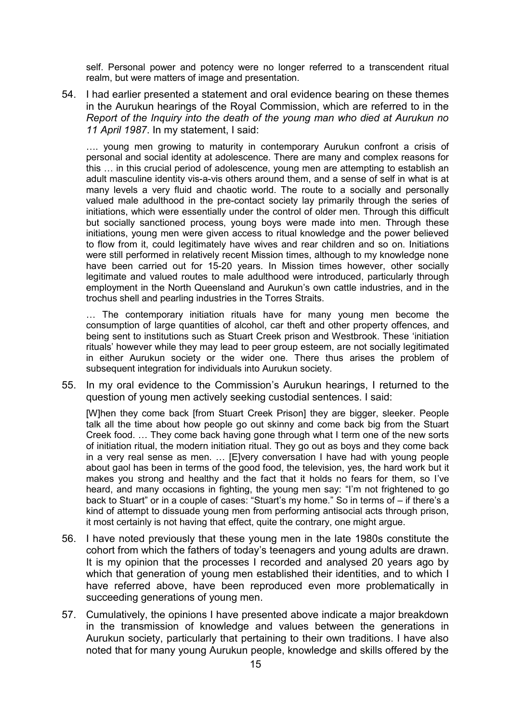self. Personal power and potency were no longer referred to a transcendent ritual realm, but were matters of image and presentation.

54. I had earlier presented a statement and oral evidence bearing on these themes in the Aurukun hearings of the Royal Commission, which are referred to in the *Report of the Inquiry into the death of the young man who died at Aurukun no 11 April 1987*. In my statement, I said:

…. young men growing to maturity in contemporary Aurukun confront a crisis of personal and social identity at adolescence. There are many and complex reasons for this … in this crucial period of adolescence, young men are attempting to establish an adult masculine identity vis-a-vis others around them, and a sense of self in what is at many levels a very fluid and chaotic world. The route to a socially and personally valued male adulthood in the pre-contact society lay primarily through the series of initiations, which were essentially under the control of older men. Through this difficult but socially sanctioned process, young boys were made into men. Through these initiations, young men were given access to ritual knowledge and the power believed to flow from it, could legitimately have wives and rear children and so on. Initiations were still performed in relatively recent Mission times, although to my knowledge none have been carried out for 15-20 years. In Mission times however, other socially legitimate and valued routes to male adulthood were introduced, particularly through employment in the North Queensland and Aurukun's own cattle industries, and in the trochus shell and pearling industries in the Torres Straits.

… The contemporary initiation rituals have for many young men become the consumption of large quantities of alcohol, car theft and other property offences, and being sent to institutions such as Stuart Creek prison and Westbrook. These 'initiation rituals' however while they may lead to peer group esteem, are not socially legitimated in either Aurukun society or the wider one. There thus arises the problem of subsequent integration for individuals into Aurukun society.

55. In my oral evidence to the Commission's Aurukun hearings, I returned to the question of young men actively seeking custodial sentences. I said:

[W]hen they come back [from Stuart Creek Prison] they are bigger, sleeker. People talk all the time about how people go out skinny and come back big from the Stuart Creek food. … They come back having gone through what I term one of the new sorts of initiation ritual, the modern initiation ritual. They go out as boys and they come back in a very real sense as men. … [E]very conversation I have had with young people about gaol has been in terms of the good food, the television, yes, the hard work but it makes you strong and healthy and the fact that it holds no fears for them, so I've heard, and many occasions in fighting, the young men say: "I'm not frightened to go back to Stuart" or in a couple of cases: "Stuart's my home." So in terms of – if there's a kind of attempt to dissuade young men from performing antisocial acts through prison, it most certainly is not having that effect, quite the contrary, one might argue.

- 56. I have noted previously that these young men in the late 1980s constitute the cohort from which the fathers of today's teenagers and young adults are drawn. It is my opinion that the processes I recorded and analysed 20 years ago by which that generation of young men established their identities, and to which I have referred above, have been reproduced even more problematically in succeeding generations of young men.
- 57. Cumulatively, the opinions I have presented above indicate a major breakdown in the transmission of knowledge and values between the generations in Aurukun society, particularly that pertaining to their own traditions. I have also noted that for many young Aurukun people, knowledge and skills offered by the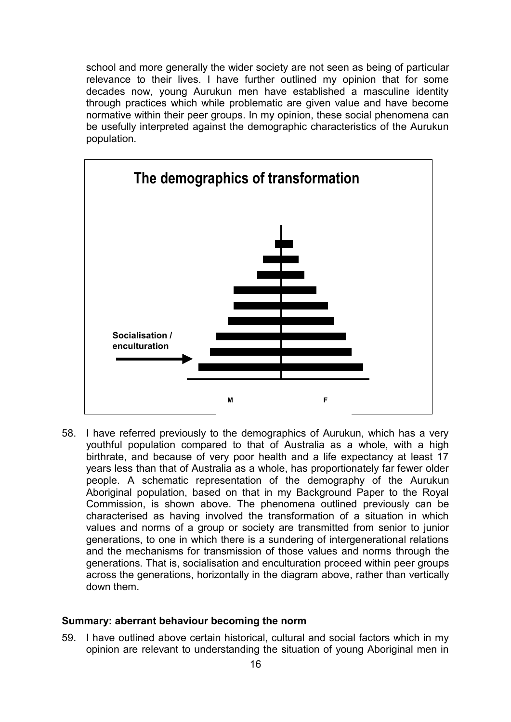school and more generally the wider society are not seen as being of particular relevance to their lives. I have further outlined my opinion that for some decades now, young Aurukun men have established a masculine identity through practices which while problematic are given value and have become normative within their peer groups. In my opinion, these social phenomena can be usefully interpreted against the demographic characteristics of the Aurukun population.



58. I have referred previously to the demographics of Aurukun, which has a very youthful population compared to that of Australia as a whole, with a high birthrate, and because of very poor health and a life expectancy at least 17 years less than that of Australia as a whole, has proportionately far fewer older people. A schematic representation of the demography of the Aurukun Aboriginal population, based on that in my Background Paper to the Royal Commission, is shown above. The phenomena outlined previously can be characterised as having involved the transformation of a situation in which values and norms of a group or society are transmitted from senior to junior generations, to one in which there is a sundering of intergenerational relations and the mechanisms for transmission of those values and norms through the generations. That is, socialisation and enculturation proceed within peer groups across the generations, horizontally in the diagram above, rather than vertically down them.

#### **Summary: aberrant behaviour becoming the norm**

59. I have outlined above certain historical, cultural and social factors which in my opinion are relevant to understanding the situation of young Aboriginal men in